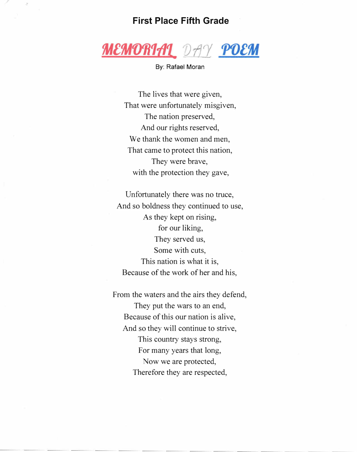## **First Place Fifth Grade**



By: Rafael Moran

The lives that were given, That were unfortunately misgiven, The nation preserved, And our rights reserved, We thank the women and men, That came to protect this nation, They were brave, with the protection they gave,

Unfortunately there was no truce, And so boldness they continued to use, As they kept on rising, for our liking, They served us, Some with cuts, This nation is what it is, Because of the work of her and his,

From the waters and the airs they defend, They put the wars to an end, Because of this our nation is alive, And so they will continue to strive, This country stays strong, For many years that long, Now we are protected, Therefore they are respected,